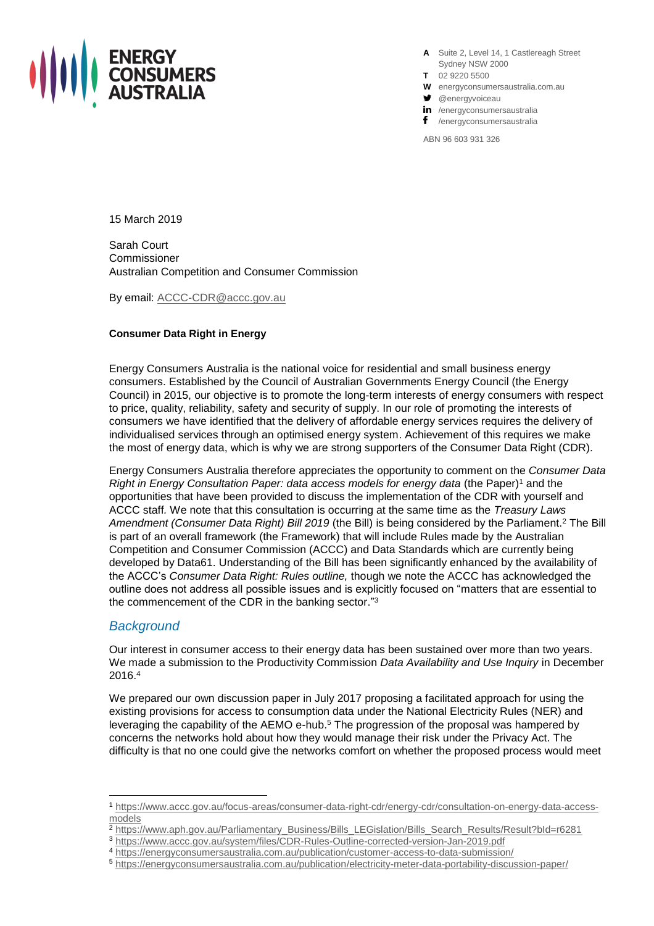

**A** Suite 2, Level 14, 1 Castlereagh Street Sydney NSW 2000

- **T** 02 9220 5500
- **W** energyconsumersaustralia.com.au
- $\bullet$  @energyvoiceau
- in /energyconsumersaustralia
- f /energyconsumersaustralia

ABN 96 603 931 326

15 March 2019

Sarah Court Commissioner Australian Competition and Consumer Commission

By email: [ACCC-CDR@accc.gov.au](mailto:ACCC-CDR@accc.gov.au)

### **Consumer Data Right in Energy**

Energy Consumers Australia is the national voice for residential and small business energy consumers. Established by the Council of Australian Governments Energy Council (the Energy Council) in 2015, our objective is to promote the long-term interests of energy consumers with respect to price, quality, reliability, safety and security of supply. In our role of promoting the interests of consumers we have identified that the delivery of affordable energy services requires the delivery of individualised services through an optimised energy system. Achievement of this requires we make the most of energy data, which is why we are strong supporters of the Consumer Data Right (CDR).

Energy Consumers Australia therefore appreciates the opportunity to comment on the *Consumer Data Right in Energy Consultation Paper: data access models for energy data (the Paper)<sup>1</sup> and the* opportunities that have been provided to discuss the implementation of the CDR with yourself and ACCC staff*.* We note that this consultation is occurring at the same time as the *Treasury Laws Amendment (Consumer Data Right) Bill 2019* (the Bill) is being considered by the Parliament.<sup>2</sup> The Bill is part of an overall framework (the Framework) that will include Rules made by the Australian Competition and Consumer Commission (ACCC) and Data Standards which are currently being developed by Data61. Understanding of the Bill has been significantly enhanced by the availability of the ACCC's *Consumer Data Right: Rules outline,* though we note the ACCC has acknowledged the outline does not address all possible issues and is explicitly focused on "matters that are essential to the commencement of the CDR in the banking sector."<sup>3</sup>

# *Background*

 $\overline{a}$ 

Our interest in consumer access to their energy data has been sustained over more than two years. We made a submission to the Productivity Commission *Data Availability and Use Inquiry* in December 2016.<sup>4</sup>

We prepared our own discussion paper in July 2017 proposing a facilitated approach for using the existing provisions for access to consumption data under the National Electricity Rules (NER) and leveraging the capability of the AEMO e-hub.<sup>5</sup> The progression of the proposal was hampered by concerns the networks hold about how they would manage their risk under the Privacy Act. The difficulty is that no one could give the networks comfort on whether the proposed process would meet

<sup>1</sup> [https://www.accc.gov.au/focus-areas/consumer-data-right-cdr/energy-cdr/consultation-on-energy-data-access](https://www.accc.gov.au/focus-areas/consumer-data-right-cdr/energy-cdr/consultation-on-energy-data-access-models)[models](https://www.accc.gov.au/focus-areas/consumer-data-right-cdr/energy-cdr/consultation-on-energy-data-access-models)

<sup>2</sup> [https://www.aph.gov.au/Parliamentary\\_Business/Bills\\_LEGislation/Bills\\_Search\\_Results/Result?bId=r6281](https://www.aph.gov.au/Parliamentary_Business/Bills_LEGislation/Bills_Search_Results/Result?bId=r6281)

<sup>3</sup> <https://www.accc.gov.au/system/files/CDR-Rules-Outline-corrected-version-Jan-2019.pdf>

<sup>4</sup> <https://energyconsumersaustralia.com.au/publication/customer-access-to-data-submission/>

<sup>5</sup> <https://energyconsumersaustralia.com.au/publication/electricity-meter-data-portability-discussion-paper/>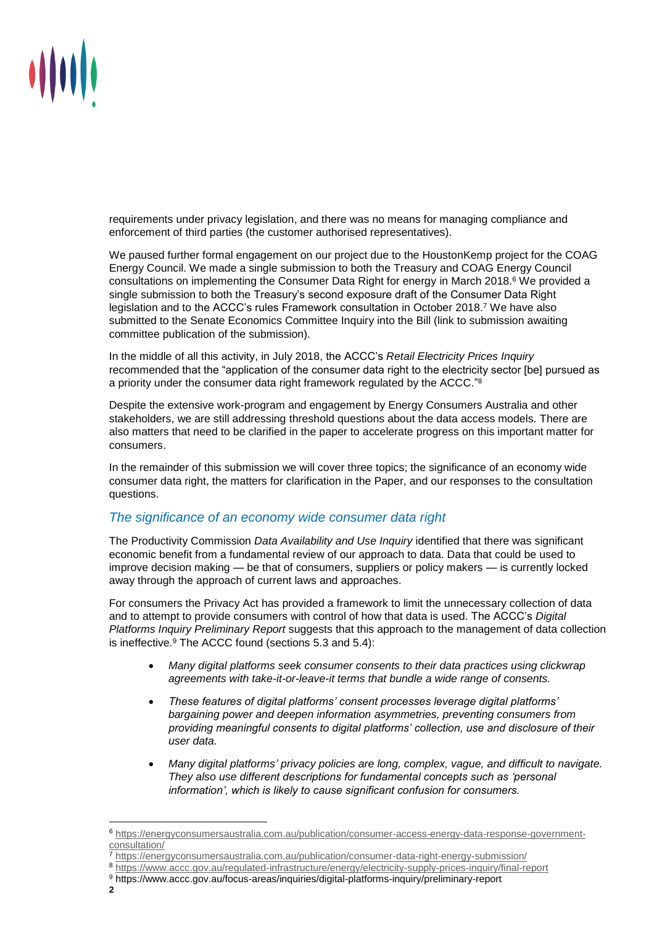

requirements under privacy legislation, and there was no means for managing compliance and enforcement of third parties (the customer authorised representatives).

We paused further formal engagement on our project due to the HoustonKemp project for the COAG Energy Council. We made a single submission to both the Treasury and COAG Energy Council consultations on implementing the Consumer Data Right for energy in March 2018.<sup>6</sup> We provided a single submission to both the Treasury's second exposure draft of the Consumer Data Right legislation and to the ACCC's rules Framework consultation in October 2018. <sup>7</sup> We have also submitted to the Senate Economics Committee Inquiry into the Bill (link to submission awaiting committee publication of the submission).

In the middle of all this activity, in July 2018, the ACCC's *Retail Electricity Prices Inquiry* recommended that the "application of the consumer data right to the electricity sector [be] pursued as a priority under the consumer data right framework regulated by the ACCC."<sup>8</sup>

Despite the extensive work-program and engagement by Energy Consumers Australia and other stakeholders, we are still addressing threshold questions about the data access models. There are also matters that need to be clarified in the paper to accelerate progress on this important matter for consumers.

In the remainder of this submission we will cover three topics; the significance of an economy wide consumer data right, the matters for clarification in the Paper, and our responses to the consultation questions.

# *The significance of an economy wide consumer data right*

The Productivity Commission *Data Availability and Use Inquiry* identified that there was significant economic benefit from a fundamental review of our approach to data. Data that could be used to improve decision making — be that of consumers, suppliers or policy makers — is currently locked away through the approach of current laws and approaches.

For consumers the Privacy Act has provided a framework to limit the unnecessary collection of data and to attempt to provide consumers with control of how that data is used. The ACCC's *Digital Platforms Inquiry Preliminary Report* suggests that this approach to the management of data collection is ineffective.<sup>9</sup> The ACCC found (sections 5.3 and 5.4):

- *Many digital platforms seek consumer consents to their data practices using clickwrap agreements with take-it-or-leave-it terms that bundle a wide range of consents.*
- *These features of digital platforms' consent processes leverage digital platforms' bargaining power and deepen information asymmetries, preventing consumers from providing meaningful consents to digital platforms' collection, use and disclosure of their user data.*
- *Many digital platforms' privacy policies are long, complex, vague, and difficult to navigate. They also use different descriptions for fundamental concepts such as 'personal information', which is likely to cause significant confusion for consumers.*

l

<sup>6</sup> [https://energyconsumersaustralia.com.au/publication/consumer-access-energy-data-response-government](https://energyconsumersaustralia.com.au/publication/consumer-access-energy-data-response-government-consultation/)[consultation/](https://energyconsumersaustralia.com.au/publication/consumer-access-energy-data-response-government-consultation/)

<sup>7</sup> <https://energyconsumersaustralia.com.au/publication/consumer-data-right-energy-submission/>

<sup>8</sup> <https://www.accc.gov.au/regulated-infrastructure/energy/electricity-supply-prices-inquiry/final-report>

<sup>9</sup> https://www.accc.gov.au/focus-areas/inquiries/digital-platforms-inquiry/preliminary-report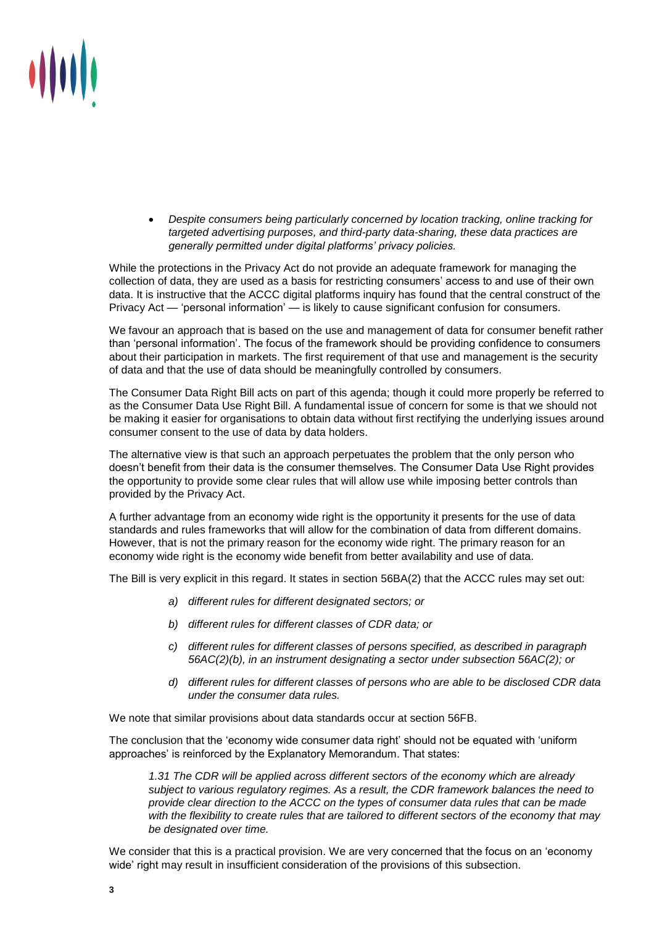

• *Despite consumers being particularly concerned by location tracking, online tracking for targeted advertising purposes, and third-party data-sharing, these data practices are generally permitted under digital platforms' privacy policies.* 

While the protections in the Privacy Act do not provide an adequate framework for managing the collection of data, they are used as a basis for restricting consumers' access to and use of their own data. It is instructive that the ACCC digital platforms inquiry has found that the central construct of the Privacy Act — 'personal information' — is likely to cause significant confusion for consumers.

We favour an approach that is based on the use and management of data for consumer benefit rather than 'personal information'. The focus of the framework should be providing confidence to consumers about their participation in markets. The first requirement of that use and management is the security of data and that the use of data should be meaningfully controlled by consumers.

The Consumer Data Right Bill acts on part of this agenda; though it could more properly be referred to as the Consumer Data Use Right Bill. A fundamental issue of concern for some is that we should not be making it easier for organisations to obtain data without first rectifying the underlying issues around consumer consent to the use of data by data holders.

The alternative view is that such an approach perpetuates the problem that the only person who doesn't benefit from their data is the consumer themselves. The Consumer Data Use Right provides the opportunity to provide some clear rules that will allow use while imposing better controls than provided by the Privacy Act.

A further advantage from an economy wide right is the opportunity it presents for the use of data standards and rules frameworks that will allow for the combination of data from different domains. However, that is not the primary reason for the economy wide right. The primary reason for an economy wide right is the economy wide benefit from better availability and use of data.

The Bill is very explicit in this regard. It states in section 56BA(2) that the ACCC rules may set out:

- *a) different rules for different designated sectors; or*
- *b) different rules for different classes of CDR data; or*
- *c) different rules for different classes of persons specified, as described in paragraph 56AC(2)(b), in an instrument designating a sector under subsection 56AC(2); or*
- *d) different rules for different classes of persons who are able to be disclosed CDR data under the consumer data rules.*

We note that similar provisions about data standards occur at section 56FB.

The conclusion that the 'economy wide consumer data right' should not be equated with 'uniform approaches' is reinforced by the Explanatory Memorandum. That states:

*1.31 The CDR will be applied across different sectors of the economy which are already subject to various regulatory regimes. As a result, the CDR framework balances the need to provide clear direction to the ACCC on the types of consumer data rules that can be made with the flexibility to create rules that are tailored to different sectors of the economy that may be designated over time.*

We consider that this is a practical provision. We are very concerned that the focus on an 'economy wide' right may result in insufficient consideration of the provisions of this subsection.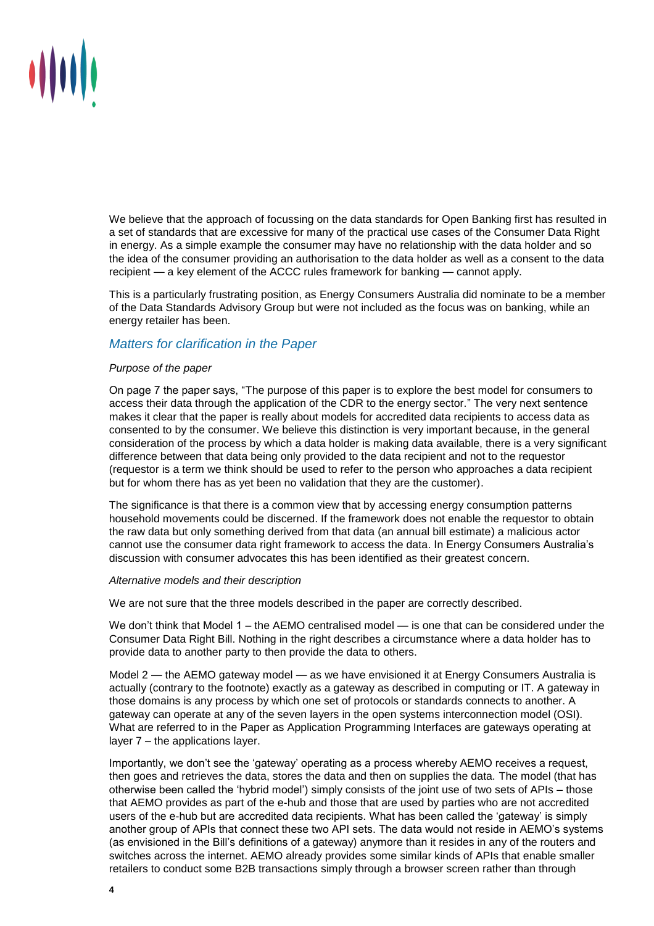

We believe that the approach of focussing on the data standards for Open Banking first has resulted in a set of standards that are excessive for many of the practical use cases of the Consumer Data Right in energy. As a simple example the consumer may have no relationship with the data holder and so the idea of the consumer providing an authorisation to the data holder as well as a consent to the data recipient — a key element of the ACCC rules framework for banking — cannot apply.

This is a particularly frustrating position, as Energy Consumers Australia did nominate to be a member of the Data Standards Advisory Group but were not included as the focus was on banking, while an energy retailer has been.

# *Matters for clarification in the Paper*

# *Purpose of the paper*

On page 7 the paper says, "The purpose of this paper is to explore the best model for consumers to access their data through the application of the CDR to the energy sector." The very next sentence makes it clear that the paper is really about models for accredited data recipients to access data as consented to by the consumer. We believe this distinction is very important because, in the general consideration of the process by which a data holder is making data available, there is a very significant difference between that data being only provided to the data recipient and not to the requestor (requestor is a term we think should be used to refer to the person who approaches a data recipient but for whom there has as yet been no validation that they are the customer).

The significance is that there is a common view that by accessing energy consumption patterns household movements could be discerned. If the framework does not enable the requestor to obtain the raw data but only something derived from that data (an annual bill estimate) a malicious actor cannot use the consumer data right framework to access the data. In Energy Consumers Australia's discussion with consumer advocates this has been identified as their greatest concern.

### *Alternative models and their description*

We are not sure that the three models described in the paper are correctly described.

We don't think that Model 1 – the AEMO centralised model — is one that can be considered under the Consumer Data Right Bill. Nothing in the right describes a circumstance where a data holder has to provide data to another party to then provide the data to others.

Model 2 — the AEMO gateway model — as we have envisioned it at Energy Consumers Australia is actually (contrary to the footnote) exactly as a gateway as described in computing or IT. A gateway in those domains is any process by which one set of protocols or standards connects to another. A gateway can operate at any of the seven layers in the open systems interconnection model (OSI). What are referred to in the Paper as Application Programming Interfaces are gateways operating at layer 7 – the applications layer.

Importantly, we don't see the 'gateway' operating as a process whereby AEMO receives a request, then goes and retrieves the data, stores the data and then on supplies the data. The model (that has otherwise been called the 'hybrid model') simply consists of the joint use of two sets of APIs – those that AEMO provides as part of the e-hub and those that are used by parties who are not accredited users of the e-hub but are accredited data recipients. What has been called the 'gateway' is simply another group of APIs that connect these two API sets. The data would not reside in AEMO's systems (as envisioned in the Bill's definitions of a gateway) anymore than it resides in any of the routers and switches across the internet. AEMO already provides some similar kinds of APIs that enable smaller retailers to conduct some B2B transactions simply through a browser screen rather than through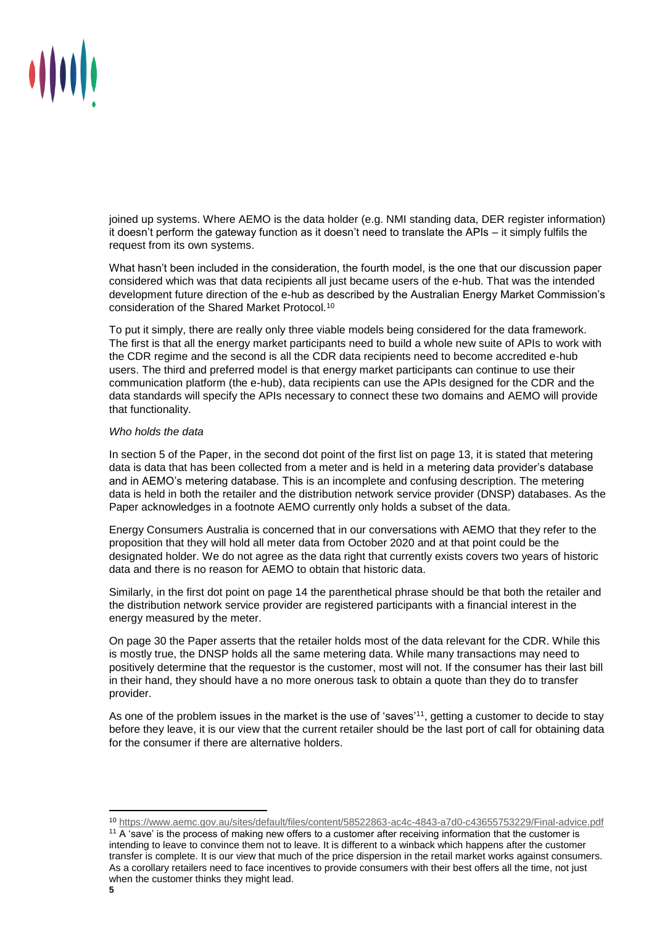

joined up systems. Where AEMO is the data holder (e.g. NMI standing data, DER register information) it doesn't perform the gateway function as it doesn't need to translate the APIs – it simply fulfils the request from its own systems.

What hasn't been included in the consideration, the fourth model, is the one that our discussion paper considered which was that data recipients all just became users of the e-hub. That was the intended development future direction of the e-hub as described by the Australian Energy Market Commission's consideration of the Shared Market Protocol.<sup>10</sup>

To put it simply, there are really only three viable models being considered for the data framework. The first is that all the energy market participants need to build a whole new suite of APIs to work with the CDR regime and the second is all the CDR data recipients need to become accredited e-hub users. The third and preferred model is that energy market participants can continue to use their communication platform (the e-hub), data recipients can use the APIs designed for the CDR and the data standards will specify the APIs necessary to connect these two domains and AEMO will provide that functionality.

### *Who holds the data*

In section 5 of the Paper, in the second dot point of the first list on page 13, it is stated that metering data is data that has been collected from a meter and is held in a metering data provider's database and in AEMO's metering database. This is an incomplete and confusing description. The metering data is held in both the retailer and the distribution network service provider (DNSP) databases. As the Paper acknowledges in a footnote AEMO currently only holds a subset of the data.

Energy Consumers Australia is concerned that in our conversations with AEMO that they refer to the proposition that they will hold all meter data from October 2020 and at that point could be the designated holder. We do not agree as the data right that currently exists covers two years of historic data and there is no reason for AEMO to obtain that historic data.

Similarly, in the first dot point on page 14 the parenthetical phrase should be that both the retailer and the distribution network service provider are registered participants with a financial interest in the energy measured by the meter.

On page 30 the Paper asserts that the retailer holds most of the data relevant for the CDR. While this is mostly true, the DNSP holds all the same metering data. While many transactions may need to positively determine that the requestor is the customer, most will not. If the consumer has their last bill in their hand, they should have a no more onerous task to obtain a quote than they do to transfer provider.

As one of the problem issues in the market is the use of 'saves'<sup>11</sup>, getting a customer to decide to stay before they leave, it is our view that the current retailer should be the last port of call for obtaining data for the consumer if there are alternative holders.

l

<sup>10</sup> <https://www.aemc.gov.au/sites/default/files/content/58522863-ac4c-4843-a7d0-c43655753229/Final-advice.pdf> <sup>11</sup> A 'save' is the process of making new offers to a customer after receiving information that the customer is intending to leave to convince them not to leave. It is different to a winback which happens after the customer

transfer is complete. It is our view that much of the price dispersion in the retail market works against consumers. As a corollary retailers need to face incentives to provide consumers with their best offers all the time, not just when the customer thinks they might lead.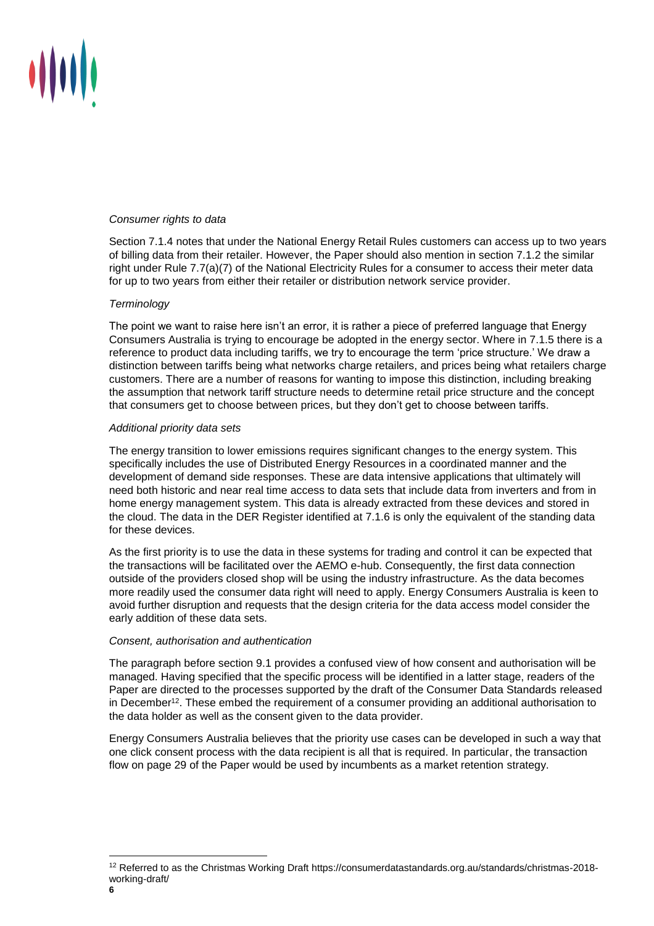

## *Consumer rights to data*

Section 7.1.4 notes that under the National Energy Retail Rules customers can access up to two years of billing data from their retailer. However, the Paper should also mention in section 7.1.2 the similar right under Rule 7.7(a)(7) of the National Electricity Rules for a consumer to access their meter data for up to two years from either their retailer or distribution network service provider.

### *Terminology*

The point we want to raise here isn't an error, it is rather a piece of preferred language that Energy Consumers Australia is trying to encourage be adopted in the energy sector. Where in 7.1.5 there is a reference to product data including tariffs, we try to encourage the term 'price structure.' We draw a distinction between tariffs being what networks charge retailers, and prices being what retailers charge customers. There are a number of reasons for wanting to impose this distinction, including breaking the assumption that network tariff structure needs to determine retail price structure and the concept that consumers get to choose between prices, but they don't get to choose between tariffs.

#### *Additional priority data sets*

The energy transition to lower emissions requires significant changes to the energy system. This specifically includes the use of Distributed Energy Resources in a coordinated manner and the development of demand side responses. These are data intensive applications that ultimately will need both historic and near real time access to data sets that include data from inverters and from in home energy management system. This data is already extracted from these devices and stored in the cloud. The data in the DER Register identified at 7.1.6 is only the equivalent of the standing data for these devices.

As the first priority is to use the data in these systems for trading and control it can be expected that the transactions will be facilitated over the AEMO e-hub. Consequently, the first data connection outside of the providers closed shop will be using the industry infrastructure. As the data becomes more readily used the consumer data right will need to apply. Energy Consumers Australia is keen to avoid further disruption and requests that the design criteria for the data access model consider the early addition of these data sets.

#### *Consent, authorisation and authentication*

The paragraph before section 9.1 provides a confused view of how consent and authorisation will be managed. Having specified that the specific process will be identified in a latter stage, readers of the Paper are directed to the processes supported by the draft of the Consumer Data Standards released in December<sup>12</sup>. These embed the requirement of a consumer providing an additional authorisation to the data holder as well as the consent given to the data provider.

Energy Consumers Australia believes that the priority use cases can be developed in such a way that one click consent process with the data recipient is all that is required. In particular, the transaction flow on page 29 of the Paper would be used by incumbents as a market retention strategy.

 $\overline{a}$ 

<sup>12</sup> Referred to as the Christmas Working Draft https://consumerdatastandards.org.au/standards/christmas-2018 working-draft/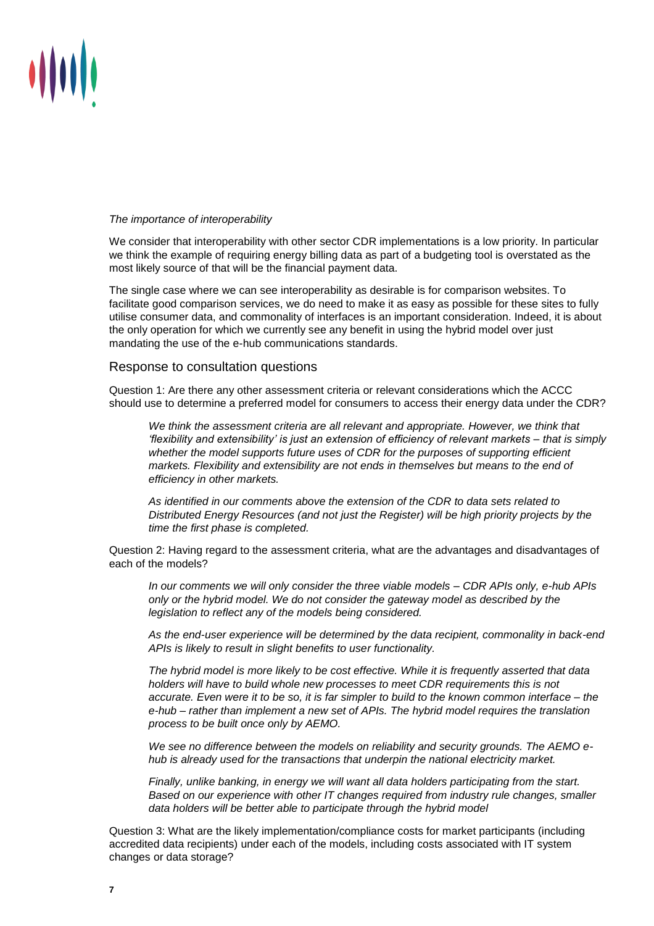

#### *The importance of interoperability*

We consider that interoperability with other sector CDR implementations is a low priority. In particular we think the example of requiring energy billing data as part of a budgeting tool is overstated as the most likely source of that will be the financial payment data.

The single case where we can see interoperability as desirable is for comparison websites. To facilitate good comparison services, we do need to make it as easy as possible for these sites to fully utilise consumer data, and commonality of interfaces is an important consideration. Indeed, it is about the only operation for which we currently see any benefit in using the hybrid model over just mandating the use of the e-hub communications standards.

### Response to consultation questions

Question 1: Are there any other assessment criteria or relevant considerations which the ACCC should use to determine a preferred model for consumers to access their energy data under the CDR?

We think the assessment criteria are all relevant and appropriate. However, we think that *'flexibility and extensibility' is just an extension of efficiency of relevant markets – that is simply whether the model supports future uses of CDR for the purposes of supporting efficient markets. Flexibility and extensibility are not ends in themselves but means to the end of efficiency in other markets.*

*As identified in our comments above the extension of the CDR to data sets related to Distributed Energy Resources (and not just the Register) will be high priority projects by the time the first phase is completed.*

Question 2: Having regard to the assessment criteria, what are the advantages and disadvantages of each of the models?

*In our comments we will only consider the three viable models – CDR APIs only, e-hub APIs only or the hybrid model. We do not consider the gateway model as described by the legislation to reflect any of the models being considered.* 

*As the end-user experience will be determined by the data recipient, commonality in back-end APIs is likely to result in slight benefits to user functionality.* 

*The hybrid model is more likely to be cost effective. While it is frequently asserted that data holders will have to build whole new processes to meet CDR requirements this is not accurate. Even were it to be so, it is far simpler to build to the known common interface – the e-hub – rather than implement a new set of APIs. The hybrid model requires the translation process to be built once only by AEMO.*

*We see no difference between the models on reliability and security grounds. The AEMO ehub is already used for the transactions that underpin the national electricity market.* 

*Finally, unlike banking, in energy we will want all data holders participating from the start. Based on our experience with other IT changes required from industry rule changes, smaller data holders will be better able to participate through the hybrid model*

Question 3: What are the likely implementation/compliance costs for market participants (including accredited data recipients) under each of the models, including costs associated with IT system changes or data storage?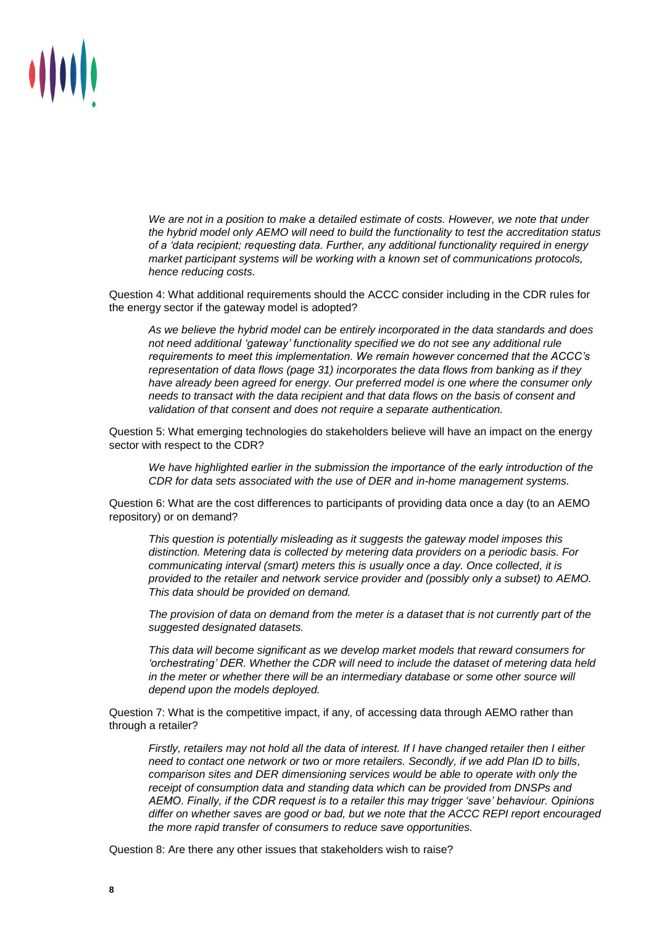

*We are not in a position to make a detailed estimate of costs. However, we note that under the hybrid model only AEMO will need to build the functionality to test the accreditation status of a 'data recipient; requesting data. Further, any additional functionality required in energy market participant systems will be working with a known set of communications protocols, hence reducing costs.* 

Question 4: What additional requirements should the ACCC consider including in the CDR rules for the energy sector if the gateway model is adopted?

*As we believe the hybrid model can be entirely incorporated in the data standards and does not need additional 'gateway' functionality specified we do not see any additional rule requirements to meet this implementation. We remain however concerned that the ACCC's representation of data flows (page 31) incorporates the data flows from banking as if they have already been agreed for energy. Our preferred model is one where the consumer only needs to transact with the data recipient and that data flows on the basis of consent and validation of that consent and does not require a separate authentication.*

Question 5: What emerging technologies do stakeholders believe will have an impact on the energy sector with respect to the CDR?

*We have highlighted earlier in the submission the importance of the early introduction of the CDR for data sets associated with the use of DER and in-home management systems.*

Question 6: What are the cost differences to participants of providing data once a day (to an AEMO repository) or on demand?

*This question is potentially misleading as it suggests the gateway model imposes this distinction. Metering data is collected by metering data providers on a periodic basis. For communicating interval (smart) meters this is usually once a day. Once collected, it is provided to the retailer and network service provider and (possibly only a subset) to AEMO. This data should be provided on demand.*

*The provision of data on demand from the meter is a dataset that is not currently part of the suggested designated datasets.* 

*This data will become significant as we develop market models that reward consumers for 'orchestrating' DER. Whether the CDR will need to include the dataset of metering data held in the meter or whether there will be an intermediary database or some other source will depend upon the models deployed.* 

Question 7: What is the competitive impact, if any, of accessing data through AEMO rather than through a retailer?

*Firstly, retailers may not hold all the data of interest. If I have changed retailer then I either need to contact one network or two or more retailers. Secondly, if we add Plan ID to bills, comparison sites and DER dimensioning services would be able to operate with only the receipt of consumption data and standing data which can be provided from DNSPs and AEMO. Finally, if the CDR request is to a retailer this may trigger 'save' behaviour. Opinions differ on whether saves are good or bad, but we note that the ACCC REPI report encouraged the more rapid transfer of consumers to reduce save opportunities.*

Question 8: Are there any other issues that stakeholders wish to raise?